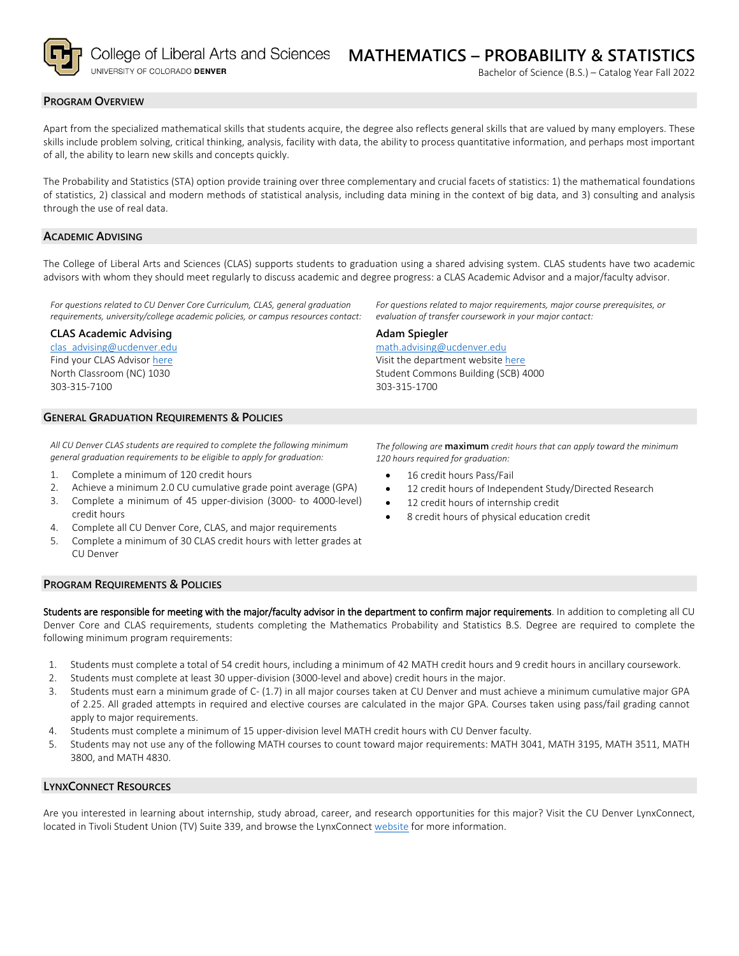

College of Liberal Arts and Sciences UNIVERSITY OF COLORADO DENVER

#### **PROGRAM OVERVIEW**

Apart from the specialized mathematical skills that students acquire, the degree also reflects general skills that are valued by many employers. These skills include problem solving, critical thinking, analysis, facility with data, the ability to process quantitative information, and perhaps most important of all, the ability to learn new skills and concepts quickly.

The Probability and Statistics (STA) option provide training over three complementary and crucial facets of statistics: 1) the mathematical foundations of statistics, 2) classical and modern methods of statistical analysis, including data mining in the context of big data, and 3) consulting and analysis through the use of real data.

### **ACADEMIC ADVISING**

The College of Liberal Arts and Sciences (CLAS) supports students to graduation using a shared advising system. CLAS students have two academic advisors with whom they should meet regularly to discuss academic and degree progress: a CLAS Academic Advisor and a major/faculty advisor.

*For questions related to CU Denver Core Curriculum, CLAS, general graduation requirements, university/college academic policies, or campus resources contact:*

#### **CLAS Academic Advising**

[clas\\_advising@ucdenver.edu](mailto:clas_advising@ucdenver.edu) Find your CLAS Adviso[r here](https://clas.ucdenver.edu/advising/) North Classroom (NC) 1030 303-315-7100

### **GENERAL GRADUATION REQUIREMENTS & POLICIES**

*All CU Denver CLAS students are required to complete the following minimum general graduation requirements to be eligible to apply for graduation:*

- 1. Complete a minimum of 120 credit hours
- 2. Achieve a minimum 2.0 CU cumulative grade point average (GPA)
- 3. Complete a minimum of 45 upper-division (3000- to 4000-level) credit hours
- 4. Complete all CU Denver Core, CLAS, and major requirements
- 5. Complete a minimum of 30 CLAS credit hours with letter grades at CU Denver

#### **PROGRAM REQUIREMENTS & POLICIES**

Students are responsible for meeting with the major/faculty advisor in the department to confirm major requirements. In addition to completing all CU Denver Core and CLAS requirements, students completing the Mathematics Probability and Statistics B.S. Degree are required to complete the following minimum program requirements:

- 1. Students must complete a total of 54 credit hours, including a minimum of 42 MATH credit hours and 9 credit hours in ancillary coursework.
- 2. Students must complete at least 30 upper-division (3000-level and above) credit hours in the major.
- 3. Students must earn a minimum grade of C- (1.7) in all major courses taken at CU Denver and must achieve a minimum cumulative major GPA of 2.25. All graded attempts in required and elective courses are calculated in the major GPA. Courses taken using pass/fail grading cannot apply to major requirements.
- 4. Students must complete a minimum of 15 upper-division level MATH credit hours with CU Denver faculty.
- 5. Students may not use any of the following MATH courses to count toward major requirements: MATH 3041, MATH 3195, MATH 3511, MATH 3800, and MATH 4830.

#### **LYNXCONNECT RESOURCES**

Are you interested in learning about internship, study abroad, career, and research opportunities for this major? Visit the CU Denver LynxConnect, located in Tivoli Student Union (TV) Suite 339, and browse the LynxConnect [website](http://www.ucdenver.edu/lynxconnect/Pages/default.aspx) for more information.

Visit the department websit[e here](https://clas.ucdenver.edu/mathematical-and-statistical-sciences/) Student Commons Building (SCB) 4000

*For questions related to major requirements, major course prerequisites, or* 

*evaluation of transfer coursework in your major contact:*

303-315-1700

[math.advising@ucdenver.edu](mailto:math.advising@ucdenver.edu)

**Adam Spiegler**

*The following are* **maximum** *credit hours that can apply toward the minimum 120 hours required for graduation:*

- 16 credit hours Pass/Fail
- 12 credit hours of Independent Study/Directed Research
- 12 credit hours of internship credit
- 8 credit hours of physical education credit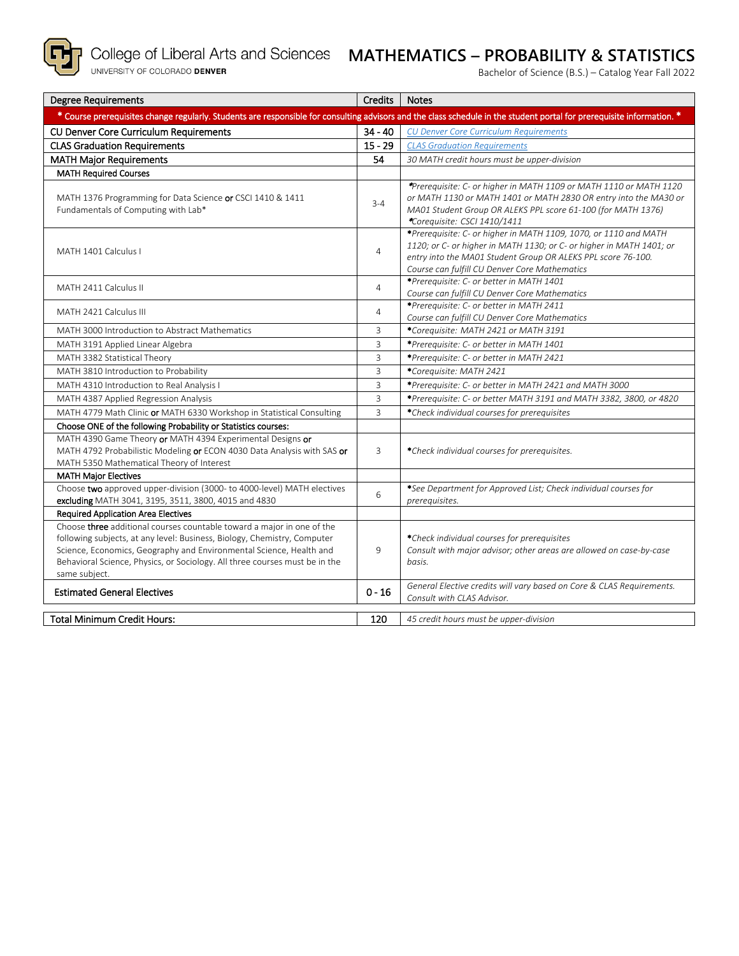

# **MATHEMATICS – PROBABILITY & STATISTICS**

Bachelor of Science (B.S.) – Catalog Year Fall 2022

| <b>Degree Requirements</b>                                                                                                                                                                                                                                                                                                | <b>Credits</b> | <b>Notes</b>                                                                                                                                                                                                                                              |
|---------------------------------------------------------------------------------------------------------------------------------------------------------------------------------------------------------------------------------------------------------------------------------------------------------------------------|----------------|-----------------------------------------------------------------------------------------------------------------------------------------------------------------------------------------------------------------------------------------------------------|
| * Course prerequisites change regularly. Students are responsible for consulting advisors and the class schedule in the student portal for prerequisite information. *                                                                                                                                                    |                |                                                                                                                                                                                                                                                           |
| CU Denver Core Curriculum Requirements                                                                                                                                                                                                                                                                                    | $34 - 40$      | <b>CU Denver Core Curriculum Requirements</b>                                                                                                                                                                                                             |
| <b>CLAS Graduation Requirements</b>                                                                                                                                                                                                                                                                                       | $15 - 29$      | <b>CLAS Graduation Requirements</b>                                                                                                                                                                                                                       |
| <b>MATH Major Requirements</b>                                                                                                                                                                                                                                                                                            | 54             | 30 MATH credit hours must be upper-division                                                                                                                                                                                                               |
| <b>MATH Required Courses</b>                                                                                                                                                                                                                                                                                              |                |                                                                                                                                                                                                                                                           |
| MATH 1376 Programming for Data Science or CSCI 1410 & 1411<br>Fundamentals of Computing with Lab*                                                                                                                                                                                                                         | $3 - 4$        | *Prerequisite: C- or higher in MATH 1109 or MATH 1110 or MATH 1120<br>or MATH 1130 or MATH 1401 or MATH 2830 OR entry into the MA30 or<br>MA01 Student Group OR ALEKS PPL score 61-100 (for MATH 1376)<br>*Corequisite: CSCI 1410/1411                    |
| MATH 1401 Calculus I                                                                                                                                                                                                                                                                                                      | $\overline{4}$ | *Prerequisite: C- or higher in MATH 1109, 1070, or 1110 and MATH<br>1120; or C- or higher in MATH 1130; or C- or higher in MATH 1401; or<br>entry into the MA01 Student Group OR ALEKS PPL score 76-100.<br>Course can fulfill CU Denver Core Mathematics |
| MATH 2411 Calculus II                                                                                                                                                                                                                                                                                                     | $\overline{4}$ | *Prerequisite: C- or better in MATH 1401<br>Course can fulfill CU Denver Core Mathematics                                                                                                                                                                 |
| MATH 2421 Calculus III                                                                                                                                                                                                                                                                                                    | $\overline{4}$ | *Prerequisite: C- or better in MATH 2411<br>Course can fulfill CU Denver Core Mathematics                                                                                                                                                                 |
| MATH 3000 Introduction to Abstract Mathematics                                                                                                                                                                                                                                                                            | 3              | *Corequisite: MATH 2421 or MATH 3191                                                                                                                                                                                                                      |
| MATH 3191 Applied Linear Algebra                                                                                                                                                                                                                                                                                          | 3              | *Prerequisite: C- or better in MATH 1401                                                                                                                                                                                                                  |
| MATH 3382 Statistical Theory                                                                                                                                                                                                                                                                                              | $\overline{3}$ | *Prerequisite: C- or better in MATH 2421                                                                                                                                                                                                                  |
| MATH 3810 Introduction to Probability                                                                                                                                                                                                                                                                                     | $\overline{3}$ | *Corequisite: MATH 2421                                                                                                                                                                                                                                   |
| MATH 4310 Introduction to Real Analysis I                                                                                                                                                                                                                                                                                 | $\overline{3}$ | *Prerequisite: C- or better in MATH 2421 and MATH 3000                                                                                                                                                                                                    |
| MATH 4387 Applied Regression Analysis                                                                                                                                                                                                                                                                                     | $\overline{3}$ | *Prerequisite: C- or better MATH 3191 and MATH 3382, 3800, or 4820                                                                                                                                                                                        |
| MATH 4779 Math Clinic or MATH 6330 Workshop in Statistical Consulting                                                                                                                                                                                                                                                     | $\overline{3}$ | *Check individual courses for prerequisites                                                                                                                                                                                                               |
| Choose ONE of the following Probability or Statistics courses:                                                                                                                                                                                                                                                            |                |                                                                                                                                                                                                                                                           |
| MATH 4390 Game Theory or MATH 4394 Experimental Designs or<br>MATH 4792 Probabilistic Modeling or ECON 4030 Data Analysis with SAS or<br>MATH 5350 Mathematical Theory of Interest                                                                                                                                        | 3              | *Check individual courses for prerequisites.                                                                                                                                                                                                              |
| <b>MATH Major Electives</b><br>Choose two approved upper-division (3000- to 4000-level) MATH electives                                                                                                                                                                                                                    |                |                                                                                                                                                                                                                                                           |
| excluding MATH 3041, 3195, 3511, 3800, 4015 and 4830                                                                                                                                                                                                                                                                      | 6              | *See Department for Approved List; Check individual courses for<br>prerequisites.                                                                                                                                                                         |
| <b>Required Application Area Electives</b>                                                                                                                                                                                                                                                                                |                |                                                                                                                                                                                                                                                           |
| Choose three additional courses countable toward a major in one of the<br>following subjects, at any level: Business, Biology, Chemistry, Computer<br>Science, Economics, Geography and Environmental Science, Health and<br>Behavioral Science, Physics, or Sociology. All three courses must be in the<br>same subject. | 9              | *Check individual courses for prerequisites<br>Consult with major advisor; other areas are allowed on case-by-case<br>basis.                                                                                                                              |
| <b>Estimated General Electives</b>                                                                                                                                                                                                                                                                                        | $0 - 16$       | General Elective credits will vary based on Core & CLAS Requirements.<br>Consult with CLAS Advisor.                                                                                                                                                       |
| <b>Total Minimum Credit Hours:</b>                                                                                                                                                                                                                                                                                        | 120            | 45 credit hours must be upper-division                                                                                                                                                                                                                    |